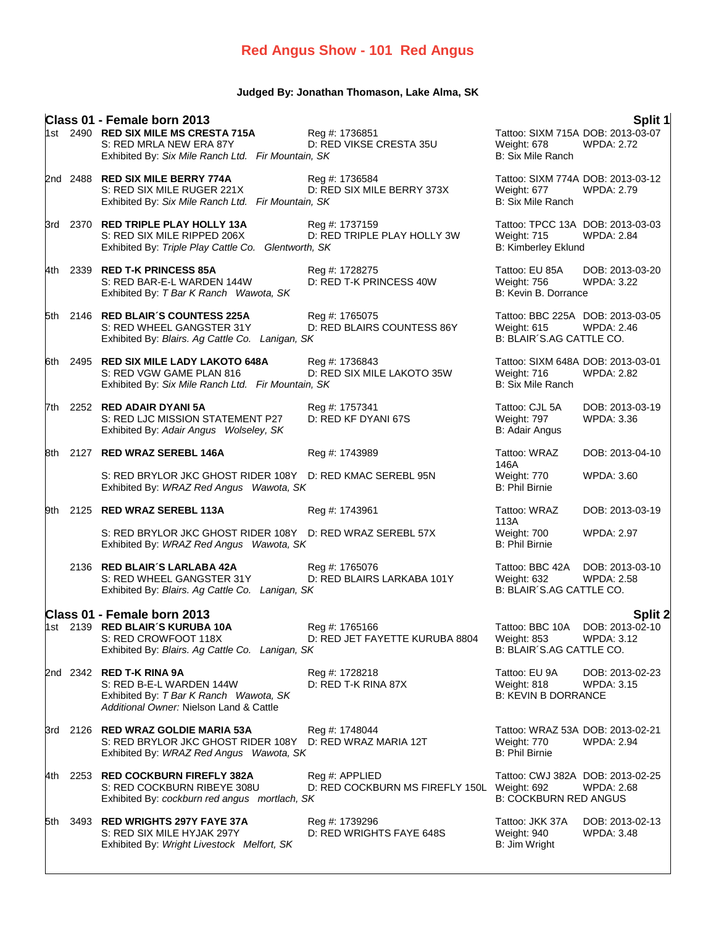## **Red Angus Show - 101 Red Angus**

### **Judged By: Jonathan Thomason, Lake Alma, SK**

|       | Class 01 - Female born 2013                                                                                                                      |                                                               |                                                                          | Split 1                                                |
|-------|--------------------------------------------------------------------------------------------------------------------------------------------------|---------------------------------------------------------------|--------------------------------------------------------------------------|--------------------------------------------------------|
|       | 1st 2490 RED SIX MILE MS CRESTA 715A<br>S: RED MRLA NEW ERA 87Y<br>Exhibited By: Six Mile Ranch Ltd. Fir Mountain, SK                            | Reg #: 1736851<br>D: RED VIKSE CRESTA 35U                     | Weight: 678<br>B: Six Mile Ranch                                         | Tattoo: SIXM 715A DOB: 2013-03-07<br><b>WPDA: 2.72</b> |
|       | 2nd 2488 RED SIX MILE BERRY 774A<br>S: RED SIX MILE RUGER 221X<br>Exhibited By: Six Mile Ranch Ltd. Fir Mountain, SK                             | Reg #: 1736584<br>D: RED SIX MILE BERRY 373X                  | Weight: 677<br>B: Six Mile Ranch                                         | Tattoo: SIXM 774A DOB: 2013-03-12<br><b>WPDA: 2.79</b> |
|       | 3rd 2370 RED TRIPLE PLAY HOLLY 13A<br>S: RED SIX MILE RIPPED 206X<br>Exhibited By: Triple Play Cattle Co. Glentworth, SK                         | Reg #: 1737159<br>D: RED TRIPLE PLAY HOLLY 3W                 | Weight: 715<br><b>B: Kimberley Eklund</b>                                | Tattoo: TPCC 13A DOB: 2013-03-03<br><b>WPDA: 2.84</b>  |
| 4th - | 2339 RED T-K PRINCESS 85A<br>S: RED BAR-E-L WARDEN 144W<br>Exhibited By: T Bar K Ranch Wawota, SK                                                | Reg #: 1728275<br>D: RED T-K PRINCESS 40W                     | Tattoo: EU 85A<br>Weight: 756<br>B: Kevin B. Dorrance                    | DOB: 2013-03-20<br><b>WPDA: 3.22</b>                   |
|       | 5th 2146 RED BLAIR'S COUNTESS 225A<br>S: RED WHEEL GANGSTER 31Y<br>Exhibited By: Blairs. Ag Cattle Co. Lanigan, SK                               | Reg #: 1765075<br>D: RED BLAIRS COUNTESS 86Y                  | Weight: 615<br>B: BLAIR'S.AG CATTLE CO.                                  | Tattoo: BBC 225A DOB: 2013-03-05<br>WPDA: 2.46         |
|       | 6th 2495 RED SIX MILE LADY LAKOTO 648A<br>S: RED VGW GAME PLAN 816<br>Exhibited By: Six Mile Ranch Ltd. Fir Mountain, SK                         | Reg #: 1736843<br>D: RED SIX MILE LAKOTO 35W                  | Tattoo: SIXM 648A DOB: 2013-03-01<br>Weight: 716<br>B: Six Mile Ranch    | <b>WPDA: 2.82</b>                                      |
| 7th.  | 2252 RED ADAIR DYANI 5A<br>S: RED LJC MISSION STATEMENT P27<br>Exhibited By: Adair Angus Wolseley, SK                                            | Reg #: 1757341<br>D: RED KF DYANI 67S                         | Tattoo: CJL 5A<br>Weight: 797<br>B: Adair Angus                          | DOB: 2013-03-19<br><b>WPDA: 3.36</b>                   |
|       | 8th 2127 RED WRAZ SEREBL 146A                                                                                                                    | Reg #: 1743989                                                | Tattoo: WRAZ<br>146A                                                     | DOB: 2013-04-10                                        |
|       | S: RED BRYLOR JKC GHOST RIDER 108Y D: RED KMAC SEREBL 95N<br>Exhibited By: WRAZ Red Angus Wawota, SK                                             |                                                               | Weight: 770<br><b>B: Phil Birnie</b>                                     | <b>WPDA: 3.60</b>                                      |
|       | 9th 2125 RED WRAZ SEREBL 113A                                                                                                                    | Reg #: 1743961                                                | Tattoo: WRAZ<br>113A                                                     | DOB: 2013-03-19                                        |
|       | S: RED BRYLOR JKC GHOST RIDER 108Y D: RED WRAZ SEREBL 57X<br>Exhibited By: WRAZ Red Angus Wawota, SK                                             |                                                               | Weight: 700<br><b>B: Phil Birnie</b>                                     | <b>WPDA: 2.97</b>                                      |
|       | 2136 RED BLAIR'S LARLABA 42A<br>S: RED WHEEL GANGSTER 31Y<br>Exhibited By: Blairs. Ag Cattle Co. Lanigan, SK                                     | Reg #: 1765076<br>D: RED BLAIRS LARKABA 101Y                  | Tattoo: BBC 42A<br>Weight: 632<br>B: BLAIR'S.AG CATTLE CO.               | DOB: 2013-03-10<br><b>WPDA: 2.58</b>                   |
|       | Class 01 - Female born 2013                                                                                                                      |                                                               |                                                                          | <b>Split 2</b>                                         |
|       | 1st 2139 RED BLAIR'S KURUBA 10A<br>S: RED CROWFOOT 118X<br>Exhibited By: Blairs. Ag Cattle Co. Lanigan, SK                                       | Reg #: 1765166<br>D: RED JET FAYETTE KURUBA 8804              | Tattoo: BBC 10A<br>Weight: 853<br>B: BLAIR'S.AG CATTLE CO.               | DOB: 2013-02-10<br><b>WPDA: 3.12</b>                   |
|       | 2nd 2342 <b>RED T-K RINA 9A</b><br>S: RED B-E-L WARDEN 144W<br>Exhibited By: T Bar K Ranch Wawota, SK<br>Additional Owner: Nielson Land & Cattle | Reg #: 1728218<br>D: RED T-K RINA 87X                         | Tattoo: EU 9A<br>Weight: 818<br><b>B: KEVIN B DORRANCE</b>               | DOB: 2013-02-23<br><b>WPDA: 3.15</b>                   |
|       | 3rd 2126 RED WRAZ GOLDIE MARIA 53A<br>S: RED BRYLOR JKC GHOST RIDER 108Y<br>Exhibited By: WRAZ Red Angus Wawota, SK                              | Reg #: 1748044<br>D: RED WRAZ MARIA 12T                       | Tattoo: WRAZ 53A DOB: 2013-02-21<br>Weight: 770<br><b>B: Phil Birnie</b> | WPDA: 2.94                                             |
| 4th - | 2253 RED COCKBURN FIREFLY 382A<br>S: RED COCKBURN RIBEYE 308U<br>Exhibited By: cockburn red angus mortlach, SK                                   | Reg #: APPLIED<br>D: RED COCKBURN MS FIREFLY 150L Weight: 692 | <b>B: COCKBURN RED ANGUS</b>                                             | Tattoo: CWJ 382A DOB: 2013-02-25<br>WPDA: 2.68         |
| 5th.  | 3493 RED WRIGHTS 297Y FAYE 37A<br>S: RED SIX MILE HYJAK 297Y<br>Exhibited By: Wright Livestock Melfort, SK                                       | Reg #: 1739296<br>D: RED WRIGHTS FAYE 648S                    | Tattoo: JKK 37A<br>Weight: 940<br>B: Jim Wright                          | DOB: 2013-02-13<br><b>WPDA: 3.48</b>                   |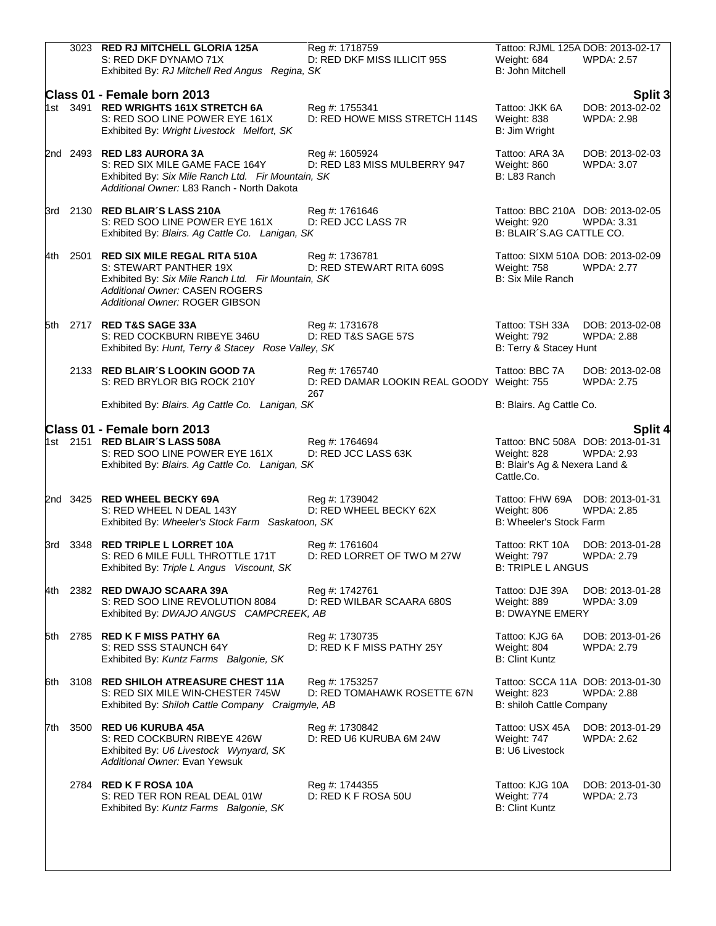|       | 3023 RED RJ MITCHELL GLORIA 125A<br>S: RED DKF DYNAMO 71X<br>Exhibited By: RJ Mitchell Red Angus Regina, SK                                                                           | Reg #: 1718759<br>D: RED DKF MISS ILLICIT 95S                | Weight: 684<br>B: John Mitchell                                                                | Tattoo: RJML 125A DOB: 2013-02-17<br><b>WPDA: 2.57</b> |
|-------|---------------------------------------------------------------------------------------------------------------------------------------------------------------------------------------|--------------------------------------------------------------|------------------------------------------------------------------------------------------------|--------------------------------------------------------|
|       | Class 01 - Female born 2013<br>1st 3491 RED WRIGHTS 161X STRETCH 6A<br>S: RED SOO LINE POWER EYE 161X<br>Exhibited By: Wright Livestock Melfort, SK                                   | Reg #: 1755341<br>D: RED HOWE MISS STRETCH 114S              | Tattoo: JKK 6A<br>Weight: 838<br>B: Jim Wright                                                 | Split 3<br>DOB: 2013-02-02<br><b>WPDA: 2.98</b>        |
|       | 2nd 2493 RED L83 AURORA 3A<br>S: RED SIX MILE GAME FACE 164Y<br>Exhibited By: Six Mile Ranch Ltd. Fir Mountain, SK<br>Additional Owner: L83 Ranch - North Dakota                      | Reg #: 1605924<br>D: RED L83 MISS MULBERRY 947               | Tattoo: ARA 3A<br>Weight: 860<br>B: L83 Ranch                                                  | DOB: 2013-02-03<br><b>WPDA: 3.07</b>                   |
|       | 3rd 2130 RED BLAIR'S LASS 210A<br>S: RED SOO LINE POWER EYE 161X<br>Exhibited By: Blairs. Ag Cattle Co. Lanigan, SK                                                                   | Reg #: 1761646<br>D: RED JCC LASS 7R                         | Tattoo: BBC 210A DOB: 2013-02-05<br>Weight: 920<br>B: BLAIR'S.AG CATTLE CO.                    | <b>WPDA: 3.31</b>                                      |
| 4th l | 2501 RED SIX MILE REGAL RITA 510A<br>S: STEWART PANTHER 19X<br>Exhibited By: Six Mile Ranch Ltd. Fir Mountain, SK<br>Additional Owner: CASEN ROGERS<br>Additional Owner: ROGER GIBSON | Reg #: 1736781<br>D: RED STEWART RITA 609S                   | Tattoo: SIXM 510A DOB: 2013-02-09<br>Weight: 758<br>B: Six Mile Ranch                          | <b>WPDA: 2.77</b>                                      |
| 5th   | 2717 RED T&S SAGE 33A<br>S: RED COCKBURN RIBEYE 346U<br>Exhibited By: Hunt, Terry & Stacey Rose Valley, SK                                                                            | Reg #: 1731678<br>D: RED T&S SAGE 57S                        | Tattoo: TSH 33A<br>Weight: 792<br>B: Terry & Stacey Hunt                                       | DOB: 2013-02-08<br><b>WPDA: 2.88</b>                   |
|       | 2133 RED BLAIR'S LOOKIN GOOD 7A<br>S: RED BRYLOR BIG ROCK 210Y                                                                                                                        | Reg #: 1765740<br>D: RED DAMAR LOOKIN REAL GOODY Weight: 755 | Tattoo: BBC 7A                                                                                 | DOB: 2013-02-08<br><b>WPDA: 2.75</b>                   |
|       | Exhibited By: Blairs. Ag Cattle Co. Lanigan, SK                                                                                                                                       | 267                                                          | B: Blairs. Ag Cattle Co.                                                                       |                                                        |
|       | Class 01 - Female born 2013<br>1st 2151 RED BLAIR'S LASS 508A<br>S: RED SOO LINE POWER EYE 161X<br>Exhibited By: Blairs. Ag Cattle Co. Lanigan, SK                                    | Reg #: 1764694<br>D: RED JCC LASS 63K                        | Tattoo: BNC 508A DOB: 2013-01-31<br>Weight: 828<br>B: Blair's Ag & Nexera Land &<br>Cattle.Co. | Split 4<br><b>WPDA: 2.93</b>                           |
|       | 2nd 3425 RED WHEEL BECKY 69A<br>S: RED WHEEL N DEAL 143Y<br>Exhibited By: Wheeler's Stock Farm Saskatoon, SK                                                                          | Reg #: 1739042<br>D: RED WHEEL BECKY 62X                     | Tattoo: FHW 69A DOB: 2013-01-31<br>Weight: 806<br>B: Wheeler's Stock Farm                      | <b>WPDA: 2.85</b>                                      |
|       | 3rd 3348 RED TRIPLE L LORRET 10A<br>S: RED 6 MILE FULL THROTTLE 171T<br>Exhibited By: Triple L Angus Viscount, SK                                                                     | Reg #: 1761604<br>D: RED LORRET OF TWO M 27W                 | Tattoo: RKT 10A<br>Weight: 797<br><b>B: TRIPLE L ANGUS</b>                                     | DOB: 2013-01-28<br><b>WPDA: 2.79</b>                   |
| 4th l | 2382 RED DWAJO SCAARA 39A<br>S: RED SOO LINE REVOLUTION 8084<br>Exhibited By: DWAJO ANGUS CAMPCREEK, AB                                                                               | Reg #: 1742761<br>D: RED WILBAR SCAARA 680S                  | Tattoo: DJE 39A<br>Weight: 889<br><b>B: DWAYNE EMERY</b>                                       | DOB: 2013-01-28<br>WPDA: 3.09                          |
|       | 5th 2785 RED K F MISS PATHY 6A<br>S: RED SSS STAUNCH 64Y<br>Exhibited By: Kuntz Farms Balgonie, SK                                                                                    | Reg #: 1730735<br>D: RED K F MISS PATHY 25Y                  | Tattoo: KJG 6A<br>Weight: 804<br><b>B: Clint Kuntz</b>                                         | DOB: 2013-01-26<br><b>WPDA: 2.79</b>                   |
| 6th.  | 3108 RED SHILOH ATREASURE CHEST 11A<br>S: RED SIX MILE WIN-CHESTER 745W<br>Exhibited By: Shiloh Cattle Company Craigmyle, AB                                                          | Reg #: 1753257<br>D: RED TOMAHAWK ROSETTE 67N                | Tattoo: SCCA 11A DOB: 2013-01-30<br>Weight: 823<br>B: shiloh Cattle Company                    | <b>WPDA: 2.88</b>                                      |
| 7th   | 3500 RED U6 KURUBA 45A<br>S: RED COCKBURN RIBEYE 426W<br>Exhibited By: U6 Livestock Wynyard, SK<br>Additional Owner: Evan Yewsuk                                                      | Reg #: 1730842<br>D: RED U6 KURUBA 6M 24W                    | Tattoo: USX 45A<br>Weight: 747<br>B: U6 Livestock                                              | DOB: 2013-01-29<br><b>WPDA: 2.62</b>                   |
|       | 2784 RED K F ROSA 10A<br>S: RED TER RON REAL DEAL 01W<br>Exhibited By: Kuntz Farms Balgonie, SK                                                                                       | Reg #: 1744355<br>D: RED K F ROSA 50U                        | Tattoo: KJG 10A<br>Weight: 774<br>B: Clint Kuntz                                               | DOB: 2013-01-30<br><b>WPDA: 2.73</b>                   |
|       |                                                                                                                                                                                       |                                                              |                                                                                                |                                                        |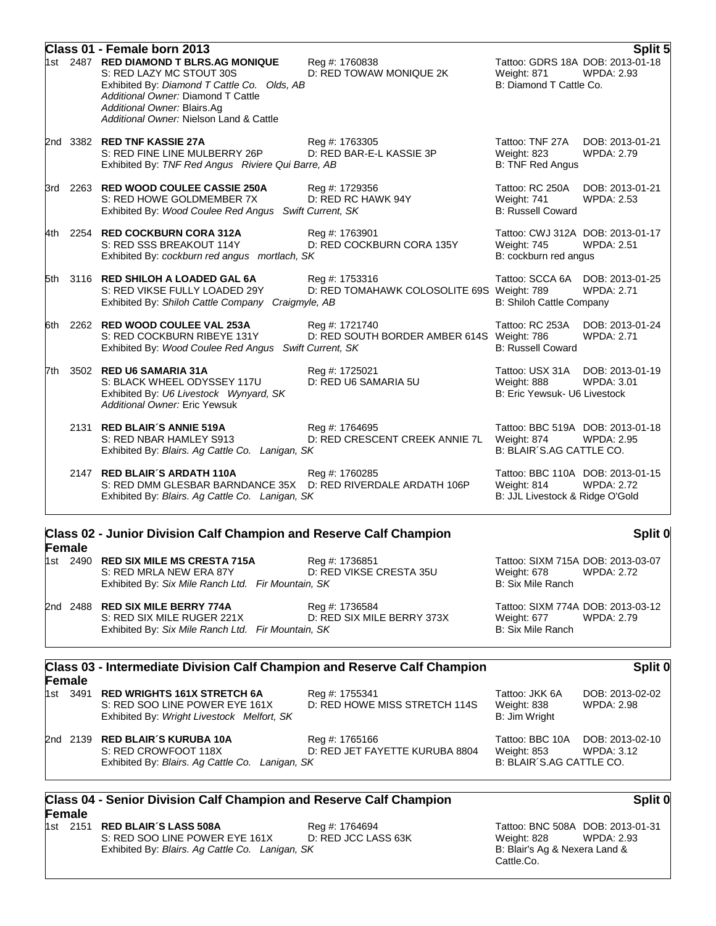|       | Class 01 - Female born 2013                                                                                                                                                                                                       |                                                                                          |                                                                                    | Split 5                              |
|-------|-----------------------------------------------------------------------------------------------------------------------------------------------------------------------------------------------------------------------------------|------------------------------------------------------------------------------------------|------------------------------------------------------------------------------------|--------------------------------------|
|       | 1st 2487 RED DIAMOND T BLRS.AG MONIQUE<br>S: RED LAZY MC STOUT 30S<br>Exhibited By: Diamond T Cattle Co. Olds, AB<br>Additional Owner: Diamond T Cattle<br>Additional Owner: Blairs.Ag<br>Additional Owner: Nielson Land & Cattle | Reg #: 1760838<br>D: RED TOWAW MONIQUE 2K                                                | Tattoo: GDRS 18A DOB: 2013-01-18<br>Weight: 871<br>B: Diamond T Cattle Co.         | <b>WPDA: 2.93</b>                    |
|       | 2nd 3382 RED TNF KASSIE 27A<br>S: RED FINE LINE MULBERRY 26P<br>Exhibited By: TNF Red Angus Riviere Qui Barre, AB                                                                                                                 | Reg #: 1763305<br>D: RED BAR-E-L KASSIE 3P                                               | Tattoo: TNF 27A<br>Weight: 823<br><b>B: TNF Red Angus</b>                          | DOB: 2013-01-21<br><b>WPDA: 2.79</b> |
| 3rd   | 2263 RED WOOD COULEE CASSIE 250A<br>S: RED HOWE GOLDMEMBER 7X<br>Exhibited By: Wood Coulee Red Angus Swift Current, SK                                                                                                            | Reg #: 1729356<br>D: RED RC HAWK 94Y                                                     | Tattoo: RC 250A<br>Weight: 741<br><b>B: Russell Coward</b>                         | DOB: 2013-01-21<br><b>WPDA: 2.53</b> |
| 4th - | 2254 RED COCKBURN CORA 312A<br>S: RED SSS BREAKOUT 114Y<br>Exhibited By: cockburn red angus mortlach, SK                                                                                                                          | Reg #: 1763901<br>D: RED COCKBURN CORA 135Y                                              | Tattoo: CWJ 312A DOB: 2013-01-17<br>Weight: 745<br>B: cockburn red angus           | <b>WPDA: 2.51</b>                    |
| 5th   | 3116 RED SHILOH A LOADED GAL 6A<br>S: RED VIKSE FULLY LOADED 29Y<br>Exhibited By: Shiloh Cattle Company                                                                                                                           | Reg #: 1753316<br>D: RED TOMAHAWK COLOSOLITE 69S Weight: 789<br>Craigmyle, AB            | Tattoo: SCCA 6A<br>B: Shiloh Cattle Company                                        | DOB: 2013-01-25<br><b>WPDA: 2.71</b> |
| 6th.  | 2262 RED WOOD COULEE VAL 253A<br>S: RED COCKBURN RIBEYE 131Y<br>Exhibited By: Wood Coulee Red Angus                                                                                                                               | Reg #: 1721740<br>D: RED SOUTH BORDER AMBER 614S Weight: 786<br><b>Swift Current, SK</b> | Tattoo: RC 253A<br><b>B: Russell Coward</b>                                        | DOB: 2013-01-24<br><b>WPDA: 2.71</b> |
| 7th.  | 3502 RED U6 SAMARIA 31A<br>S: BLACK WHEEL ODYSSEY 117U<br>Exhibited By: U6 Livestock Wynyard, SK<br>Additional Owner: Eric Yewsuk                                                                                                 | Reg #: 1725021<br>D: RED U6 SAMARIA 5U                                                   | Tattoo: USX 31A DOB: 2013-01-19<br>Weight: 888<br>B: Eric Yewsuk- U6 Livestock     | <b>WPDA: 3.01</b>                    |
|       | 2131 RED BLAIR'S ANNIE 519A<br>S: RED NBAR HAMLEY S913<br>Exhibited By: Blairs. Ag Cattle Co. Lanigan, SK                                                                                                                         | Reg #: 1764695<br>D: RED CRESCENT CREEK ANNIE 7L                                         | Tattoo: BBC 519A DOB: 2013-01-18<br>Weight: 874<br>B: BLAIR'S.AG CATTLE CO.        | <b>WPDA: 2.95</b>                    |
|       | 2147 RED BLAIR'S ARDATH 110A<br>S: RED DMM GLESBAR BARNDANCE 35X D: RED RIVERDALE ARDATH 106P<br>Exhibited By: Blairs. Ag Cattle Co. Lanigan, SK                                                                                  | Reg #: 1760285                                                                           | Tattoo: BBC 110A DOB: 2013-01-15<br>Weight: 814<br>B: JJL Livestock & Ridge O'Gold | <b>WPDA: 2.72</b>                    |
|       |                                                                                                                                                                                                                                   |                                                                                          |                                                                                    |                                      |

#### **Class 02 - Junior Division Calf Champion and Reserve Calf Champion Female**

|        | S: RED MRLA NEW ERA 87Y<br>Exhibited By: Six Mile Ranch Ltd. Fir Mountain, SK                                       | D: RED VIKSE CRESTA 35U                                                  | Weight: 678<br>B: Six Mile Ranch                    | WPDA: 2.72                                      |
|--------|---------------------------------------------------------------------------------------------------------------------|--------------------------------------------------------------------------|-----------------------------------------------------|-------------------------------------------------|
| 2nd    | 2488 RED SIX MILE BERRY 774A<br>S: RED SIX MILE RUGER 221X<br>Exhibited By: Six Mile Ranch Ltd. Fir Mountain, SK    | Reg #: 1736584<br>D: RED SIX MILE BERRY 373X                             | Weight: 677<br>B: Six Mile Ranch                    | Tattoo: SIXM 774A DOB: 2013-03-12<br>WPDA: 2.79 |
| Female |                                                                                                                     | Class 03 - Intermediate Division Calf Champion and Reserve Calf Champion |                                                     | <b>Split</b>                                    |
|        | 1st 3491 RED WRIGHTS 161X STRETCH 6A<br>S: RED SOO LINE POWER EYE 161X<br>Exhibited By: Wright Livestock Melfort SK | Reg #: 1755341<br>D: RED HOWE MISS STRETCH 114S                          | Tattoo: JKK 6A<br>Weight: 838<br>$R^r$ . lim Wright | DOB: 2013-02-02<br>WPDA: 2.98                   |

Exhibited By: *Wright Livestock Melfort, SK* B: Jim Wright 2nd 2139 **RED BLAIR´S KURUBA 10A** Reg #: 1765166 Reg 7 Tattoo: BBC 10A DOB: 2013-02-10<br>S: RED CROWFOOT 118X D: RED JET FAYETTE KURUBA 8804 Weight: 853 WPDA: 3.12 D: RED JET FAYETTE KURUBA 8804 Exhibited By: *Blairs. Ag Cattle Co. Lanigan, SK* B: BLAIR´S.AG CATTLE CO.

### **Class 04 - Senior Division Calf Champion and Reserve Calf Champion Female**

1st 2151 **RED BLAIR´S LASS 508A** Reg #: 1764694 Tattoo: BNC 508A DOB: 2013-01-31 S: RED SOO LINE POWER EYE 161X D: RED JCC LASS 63K Weight: 828 WPDA: 2.93 Exhibited By: *Blairs. Ag Cattle Co. Lanigan, SK* B: Blair's Ag & Nexera Land &

Cattle.Co.

# **Split 0**

### **Split 0**

**Split 0**

1st 2490 **RED SIX MILE MS CRESTA 715A** Reg #: 1736851 Tattoo: SIXM 715A DOB: 2013-03-07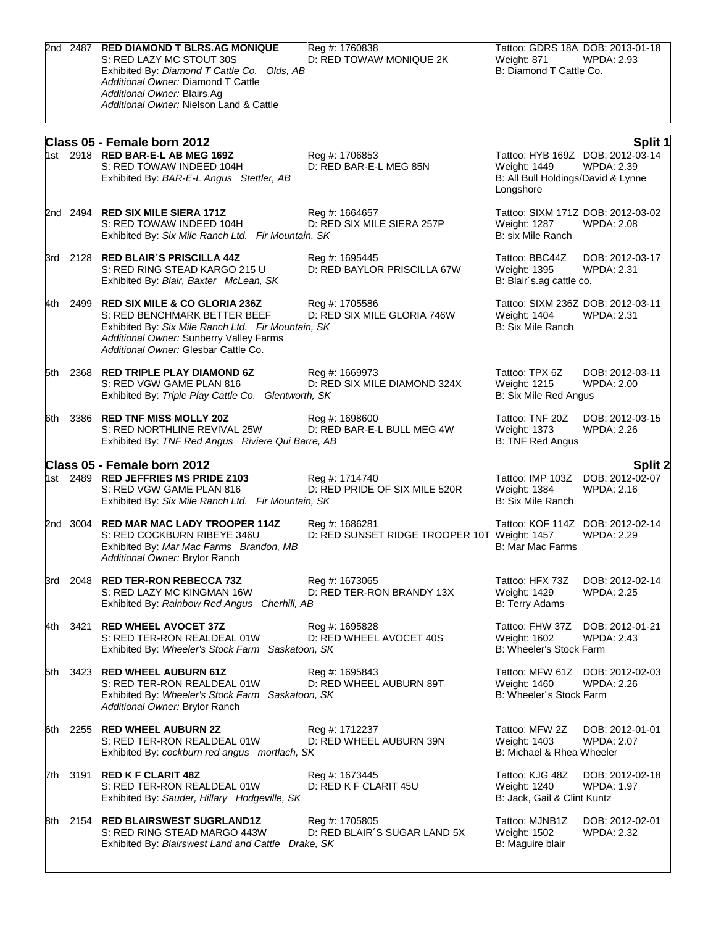|       |      | 2nd 2487 RED DIAMOND T BLRS.AG MONIQUE<br>S: RED LAZY MC STOUT 30S<br>Exhibited By: Diamond T Cattle Co. Olds, AB<br>Additional Owner: Diamond T Cattle<br>Additional Owner: Blairs.Ag<br>Additional Owner: Nielson Land & Cattle | Reg #: 1760838<br>D: RED TOWAW MONIQUE 2K                      | Tattoo: GDRS 18A DOB: 2013-01-18<br>Weight: 871<br>B: Diamond T Cattle Co.                          | <b>WPDA: 2.93</b>                    |
|-------|------|-----------------------------------------------------------------------------------------------------------------------------------------------------------------------------------------------------------------------------------|----------------------------------------------------------------|-----------------------------------------------------------------------------------------------------|--------------------------------------|
|       |      | Class 05 - Female born 2012<br>1st 2918 RED BAR-E-L AB MEG 169Z<br>S: RED TOWAW INDEED 104H<br>Exhibited By: BAR-E-L Angus Stettler, AB                                                                                           | Reg #: 1706853<br>D: RED BAR-E-L MEG 85N                       | Tattoo: HYB 169Z DOB: 2012-03-14<br>Weight: 1449<br>B: All Bull Holdings/David & Lynne<br>Longshore | Split 1<br><b>WPDA: 2.39</b>         |
|       |      | 2nd 2494 RED SIX MILE SIERA 171Z<br>S: RED TOWAW INDEED 104H<br>Exhibited By: Six Mile Ranch Ltd. Fir Mountain, SK                                                                                                                | Reg #: 1664657<br>D: RED SIX MILE SIERA 257P                   | Tattoo: SIXM 171Z DOB: 2012-03-02<br>Weight: 1287<br>B: six Mile Ranch                              | <b>WPDA: 2.08</b>                    |
|       |      | 3rd 2128 RED BLAIR'S PRISCILLA 44Z<br>S: RED RING STEAD KARGO 215 U<br>Exhibited By: Blair, Baxter McLean, SK                                                                                                                     | Reg #: 1695445<br>D: RED BAYLOR PRISCILLA 67W                  | Tattoo: BBC44Z<br>Weight: 1395<br>B: Blair's.ag cattle co.                                          | DOB: 2012-03-17<br><b>WPDA: 2.31</b> |
|       |      | 4th 2499 RED SIX MILE & CO GLORIA 236Z<br>S: RED BENCHMARK BETTER BEEF<br>Exhibited By: Six Mile Ranch Ltd. Fir Mountain, SK<br>Additional Owner: Sunberry Valley Farms<br>Additional Owner: Glesbar Cattle Co.                   | Reg #: 1705586<br>D: RED SIX MILE GLORIA 746W                  | Tattoo: SIXM 236Z DOB: 2012-03-11<br>Weight: 1404<br>B: Six Mile Ranch                              | WPDA: 2.31                           |
| 5th   |      | 2368 RED TRIPLE PLAY DIAMOND 6Z<br>S: RED VGW GAME PLAN 816<br>Exhibited By: Triple Play Cattle Co. Glentworth, SK                                                                                                                | Reg #: 1669973<br>D: RED SIX MILE DIAMOND 324X                 | Tattoo: TPX 6Z<br>Weight: 1215<br>B: Six Mile Red Angus                                             | DOB: 2012-03-11<br><b>WPDA: 2.00</b> |
|       |      | 6th 3386 RED TNF MISS MOLLY 20Z<br>S: RED NORTHLINE REVIVAL 25W<br>Exhibited By: TNF Red Angus Riviere Qui Barre, AB                                                                                                              | Reg #: 1698600<br>D: RED BAR-E-L BULL MEG 4W                   | Tattoo: TNF 20Z<br><b>Weight: 1373</b><br>B: TNF Red Angus                                          | DOB: 2012-03-15<br>WPDA: 2.26        |
|       |      | Class 05 - Female born 2012<br>1st 2489 RED JEFFRIES MS PRIDE Z103<br>S: RED VGW GAME PLAN 816<br>Exhibited By: Six Mile Ranch Ltd. Fir Mountain, SK                                                                              | Reg #: 1714740<br>D: RED PRIDE OF SIX MILE 520R                | Tattoo: IMP 103Z DOB: 2012-02-07<br>Weight: 1384<br><b>B: Six Mile Ranch</b>                        | <b>Split 2</b><br><b>WPDA: 2.16</b>  |
|       |      | 2nd 3004 RED MAR MAC LADY TROOPER 114Z<br>S: RED COCKBURN RIBEYE 346U<br>Exhibited By: Mar Mac Farms Brandon, MB<br>Additional Owner: Brylor Ranch                                                                                | Reg #: 1686281<br>D: RED SUNSET RIDGE TROOPER 10T Weight: 1457 | Tattoo: KOF 114Z DOB: 2012-02-14<br>B: Mar Mac Farms                                                | <b>WPDA: 2.29</b>                    |
| 3rd   |      | 2048 RED TER-RON REBECCA 73Z<br>S: RED LAZY MC KINGMAN 16W<br>Exhibited By: Rainbow Red Angus Cherhill, AB                                                                                                                        | Reg #: 1673065<br>D: RED TER-RON BRANDY 13X                    | Tattoo: HFX 73Z<br>Weight: 1429<br>B: Terry Adams                                                   | DOB: 2012-02-14<br><b>WPDA: 2.25</b> |
| 4th - | 3421 | <b>RED WHEEL AVOCET 37Z</b><br>S: RED TER-RON REALDEAL 01W<br>Exhibited By: Wheeler's Stock Farm Saskatoon, SK                                                                                                                    | Reg #: 1695828<br>D: RED WHEEL AVOCET 40S                      | Tattoo: FHW 37Z<br>Weight: 1602<br>B: Wheeler's Stock Farm                                          | DOB: 2012-01-21<br><b>WPDA: 2.43</b> |
| 5th   |      | 3423 RED WHEEL AUBURN 61Z<br>S: RED TER-RON REALDEAL 01W<br>Exhibited By: Wheeler's Stock Farm Saskatoon, SK<br>Additional Owner: Brylor Ranch                                                                                    | Reg #: 1695843<br>D: RED WHEEL AUBURN 89T                      | Tattoo: MFW 61Z DOB: 2012-02-03<br>Weight: 1460<br>B: Wheeler's Stock Farm                          | WPDA: 2.26                           |
| l6th. |      | 2255 RED WHEEL AUBURN 2Z<br>S: RED TER-RON REALDEAL 01W<br>Exhibited By: cockburn red angus mortlach, SK                                                                                                                          | Reg #: 1712237<br>D: RED WHEEL AUBURN 39N                      | Tattoo: MFW 2Z<br>Weight: 1403<br>B: Michael & Rhea Wheeler                                         | DOB: 2012-01-01<br><b>WPDA: 2.07</b> |
|       |      | 7th 3191 <b>RED K F CLARIT 48Z</b><br>S: RED TER-RON REALDEAL 01W<br>Exhibited By: Sauder, Hillary Hodgeville, SK                                                                                                                 | Reg #: 1673445<br>D: RED K F CLARIT 45U                        | Tattoo: KJG 48Z<br>Weight: 1240<br>B: Jack, Gail & Clint Kuntz                                      | DOB: 2012-02-18<br><b>WPDA: 1.97</b> |
| l8th. |      | 2154 RED BLAIRSWEST SUGRLAND1Z<br>S: RED RING STEAD MARGO 443W<br>Exhibited By: Blairswest Land and Cattle Drake, SK                                                                                                              | Reg #: 1705805<br>D: RED BLAIR'S SUGAR LAND 5X                 | Tattoo: MJNB1Z<br>Weight: 1502<br>B: Maguire blair                                                  | DOB: 2012-02-01<br><b>WPDA: 2.32</b> |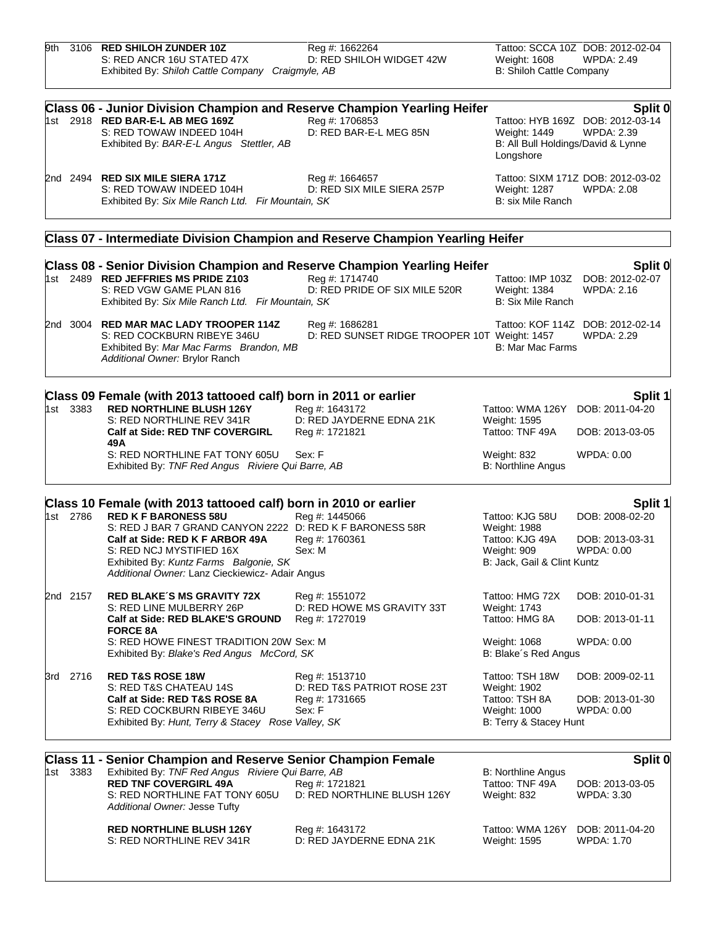| 9th |          | 3106 RED SHILOH ZUNDER 10Z                                                                                                | Reg #: 1662264                                |                                    | Tattoo: SCCA 10Z DOB: 2012-02-04            |
|-----|----------|---------------------------------------------------------------------------------------------------------------------------|-----------------------------------------------|------------------------------------|---------------------------------------------|
|     |          | S: RED ANCR 16U STATED 47X                                                                                                | D: RED SHILOH WIDGET 42W                      | Weight: 1608                       | <b>WPDA: 2.49</b>                           |
|     |          | Exhibited By: Shiloh Cattle Company Craigmyle, AB                                                                         |                                               | B: Shiloh Cattle Company           |                                             |
|     |          | Class 06 - Junior Division Champion and Reserve Champion Yearling Heifer                                                  |                                               |                                    | Split 0                                     |
|     |          | 1st 2918 <b>RED BAR-E-L AB MEG 169Z</b>                                                                                   | Reg #: 1706853                                |                                    | Tattoo: HYB 169Z DOB: 2012-03-14            |
|     |          | S: RED TOWAW INDEED 104H                                                                                                  | D: RED BAR-E-L MEG 85N                        | Weight: 1449                       | <b>WPDA: 2.39</b>                           |
|     |          | Exhibited By: BAR-E-L Angus Stettler, AB                                                                                  |                                               | B: All Bull Holdings/David & Lynne |                                             |
|     |          |                                                                                                                           |                                               | Longshore                          |                                             |
|     |          | 2nd 2494 RED SIX MILE SIERA 171Z                                                                                          | Reg #: 1664657                                |                                    | Tattoo: SIXM 171Z DOB: 2012-03-02           |
|     |          | S: RED TOWAW INDEED 104H<br>Exhibited By: Six Mile Ranch Ltd. Fir Mountain, SK                                            | D: RED SIX MILE SIERA 257P                    | Weight: 1287<br>B: six Mile Ranch  | <b>WPDA: 2.08</b>                           |
|     |          |                                                                                                                           |                                               |                                    |                                             |
|     |          | Class 07 - Intermediate Division Champion and Reserve Champion Yearling Heifer                                            |                                               |                                    |                                             |
|     |          | Class 08 - Senior Division Champion and Reserve Champion Yearling Heifer<br>1st 2489 RED JEFFRIES MS PRIDE Z103           | Reg #: 1714740                                |                                    | Split 0<br>Tattoo: IMP 103Z DOB: 2012-02-07 |
|     |          | S: RED VGW GAME PLAN 816                                                                                                  | D: RED PRIDE OF SIX MILE 520R                 | Weight: 1384                       | <b>WPDA: 2.16</b>                           |
|     |          | Exhibited By: Six Mile Ranch Ltd. Fir Mountain, SK                                                                        |                                               | <b>B: Six Mile Ranch</b>           |                                             |
|     |          | 2nd 3004 RED MAR MAC LADY TROOPER 114Z                                                                                    | Reg #: 1686281                                |                                    | Tattoo: KOF 114Z DOB: 2012-02-14            |
|     |          | S: RED COCKBURN RIBEYE 346U                                                                                               | D: RED SUNSET RIDGE TROOPER 10T Weight: 1457  |                                    | <b>WPDA: 2.29</b>                           |
|     |          | Exhibited By: Mar Mac Farms Brandon, MB<br>Additional Owner: Brylor Ranch                                                 |                                               | B: Mar Mac Farms                   |                                             |
|     |          |                                                                                                                           |                                               |                                    |                                             |
|     | 1st 3383 | Class 09 Female (with 2013 tattooed calf) born in 2011 or earlier<br><b>RED NORTHLINE BLUSH 126Y</b>                      | Reg #: 1643172                                | Tattoo: WMA 126Y                   | Split 1<br>DOB: 2011-04-20                  |
|     |          | S: RED NORTHLINE REV 341R                                                                                                 | D: RED JAYDERNE EDNA 21K                      | Weight: 1595                       |                                             |
|     |          | <b>Calf at Side: RED TNF COVERGIRL</b><br>49 A                                                                            | Reg #: 1721821                                | Tattoo: TNF 49A                    | DOB: 2013-03-05                             |
|     |          | S: RED NORTHLINE FAT TONY 605U                                                                                            | Sex: F                                        | Weight: 832                        | WPDA: 0.00                                  |
|     |          | Exhibited By: TNF Red Angus Riviere Qui Barre, AB                                                                         |                                               | <b>B: Northline Angus</b>          |                                             |
|     |          | Class 10 Female (with 2013 tattooed calf) born in 2010 or earlier                                                         |                                               |                                    | Split 1                                     |
|     | 1st 2786 | <b>RED K F BARONESS 58U</b>                                                                                               | Reg #: 1445066                                | Tattoo: KJG 58U                    | DOB: 2008-02-20                             |
|     |          | S: RED J BAR 7 GRAND CANYON 2222 D: RED K F BARONESS 58R                                                                  |                                               | <b>Weight: 1988</b>                |                                             |
|     |          | Calf at Side: RED K F ARBOR 49A                                                                                           | Reg #: 1760361                                | Tattoo: KJG 49A                    | DOB: 2013-03-31                             |
|     |          | S: RED NCJ MYSTIFIED 16X                                                                                                  | Sex: M                                        | Weight: 909                        | WPDA: 0.00                                  |
|     |          | Exhibited By: Kuntz Farms Balgonie, SK<br>Additional Owner: Lanz Cieckiewicz- Adair Angus                                 |                                               | B: Jack, Gail & Clint Kuntz        |                                             |
|     | 2nd 2157 | <b>RED BLAKE'S MS GRAVITY 72X</b>                                                                                         | Reg #: 1551072                                | Tattoo: HMG 72X                    | DOB: 2010-01-31                             |
|     |          | S: RED LINE MULBERRY 26P                                                                                                  | D: RED HOWE MS GRAVITY 33T                    | <b>Weight: 1743</b>                |                                             |
|     |          | Calf at Side: RED BLAKE'S GROUND<br><b>FORCE 8A</b>                                                                       | Reg #: 1727019                                | Tattoo: HMG 8A                     | DOB: 2013-01-11                             |
|     |          | S: RED HOWE FINEST TRADITION 20W Sex: M                                                                                   |                                               | Weight: 1068                       | WPDA: 0.00                                  |
|     |          | Exhibited By: Blake's Red Angus McCord, SK                                                                                |                                               | B: Blake's Red Angus               |                                             |
|     | 3rd 2716 | <b>RED T&amp;S ROSE 18W</b>                                                                                               | Reg #: 1513710                                | Tattoo: TSH 18W                    | DOB: 2009-02-11                             |
|     |          | S: RED T&S CHATEAU 14S<br>Calf at Side: RED T&S ROSE 8A                                                                   | D: RED T&S PATRIOT ROSE 23T<br>Reg #: 1731665 | Weight: 1902<br>Tattoo: TSH 8A     | DOB: 2013-01-30                             |
|     |          | S: RED COCKBURN RIBEYE 346U                                                                                               | Sex: F                                        | Weight: 1000                       | WPDA: 0.00                                  |
|     |          | Exhibited By: Hunt, Terry & Stacey Rose Valley, SK                                                                        |                                               | B: Terry & Stacey Hunt             |                                             |
|     |          |                                                                                                                           |                                               |                                    |                                             |
|     | 1st 3383 | <b>Class 11 - Senior Champion and Reserve Senior Champion Female</b><br>Exhibited By: TNF Red Angus Riviere Qui Barre, AB |                                               | B: Northline Angus                 | Split 0                                     |
|     |          | <b>RED TNF COVERGIRL 49A</b>                                                                                              | Reg #: 1721821                                | Tattoo: TNF 49A                    | DOB: 2013-03-05                             |
|     |          | S: RED NORTHLINE FAT TONY 605U                                                                                            | D: RED NORTHLINE BLUSH 126Y                   | Weight: 832                        | WPDA: 3.30                                  |
|     |          | Additional Owner: Jesse Tufty                                                                                             |                                               |                                    |                                             |
|     |          | <b>RED NORTHLINE BLUSH 126Y</b>                                                                                           | Reg #: 1643172                                | Tattoo: WMA 126Y                   | DOB: 2011-04-20                             |
|     |          | S: RED NORTHLINE REV 341R                                                                                                 | D: RED JAYDERNE EDNA 21K                      | Weight: 1595                       | <b>WPDA: 1.70</b>                           |
|     |          |                                                                                                                           |                                               |                                    |                                             |
|     |          |                                                                                                                           |                                               |                                    |                                             |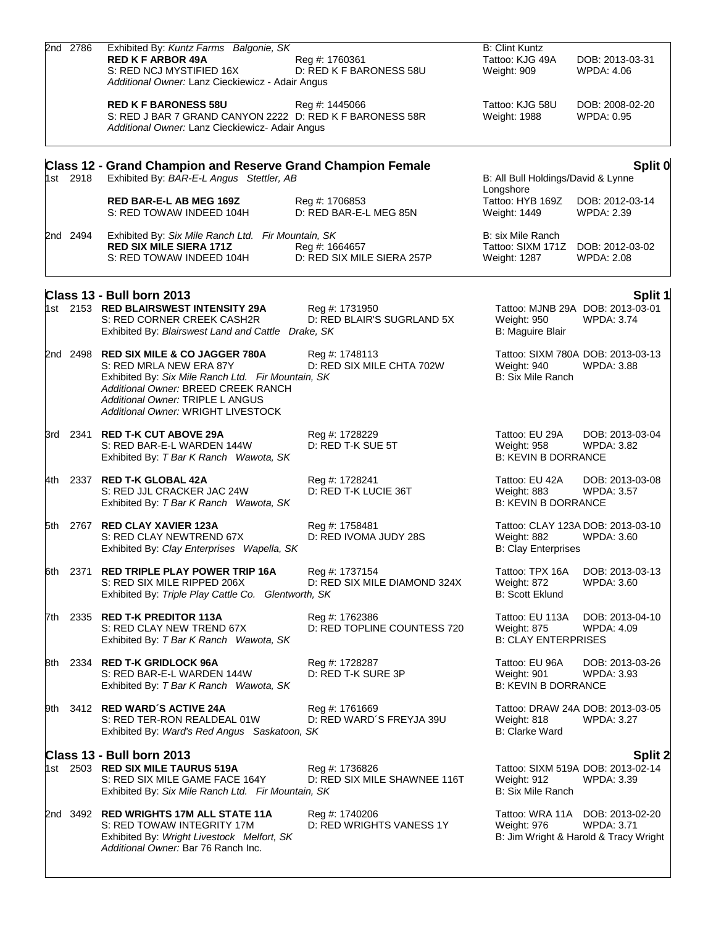|     | 2nd 2786 | Exhibited By: Kuntz Farms Balgonie, SK                                                                                                                                                                                                   |                                                | <b>B: Clint Kuntz</b>                                                  |                                                                                               |
|-----|----------|------------------------------------------------------------------------------------------------------------------------------------------------------------------------------------------------------------------------------------------|------------------------------------------------|------------------------------------------------------------------------|-----------------------------------------------------------------------------------------------|
|     |          | <b>RED K F ARBOR 49A</b><br>S: RED NCJ MYSTIFIED 16X<br>Additional Owner: Lanz Cieckiewicz - Adair Angus                                                                                                                                 | Reg #: 1760361<br>D: RED K F BARONESS 58U      | Tattoo: KJG 49A<br>Weight: 909                                         | DOB: 2013-03-31<br><b>WPDA: 4.06</b>                                                          |
|     |          | <b>RED K F BARONESS 58U</b><br>S: RED J BAR 7 GRAND CANYON 2222 D: RED K F BARONESS 58R<br>Additional Owner: Lanz Cieckiewicz- Adair Angus                                                                                               | Reg #: 1445066                                 | Tattoo: KJG 58U<br>Weight: 1988                                        | DOB: 2008-02-20<br>WPDA: 0.95                                                                 |
|     |          | <b>Class 12 - Grand Champion and Reserve Grand Champion Female</b>                                                                                                                                                                       |                                                |                                                                        | Split 0                                                                                       |
|     | 1st 2918 | Exhibited By: BAR-E-L Angus Stettler, AB                                                                                                                                                                                                 |                                                | B: All Bull Holdings/David & Lynne                                     |                                                                                               |
|     |          | <b>RED BAR-E-L AB MEG 169Z</b><br>S: RED TOWAW INDEED 104H                                                                                                                                                                               | Reg #: 1706853<br>D: RED BAR-E-L MEG 85N       | Longshore<br>Tattoo: HYB 169Z<br>Weight: 1449                          | DOB: 2012-03-14<br><b>WPDA: 2.39</b>                                                          |
|     | 2nd 2494 | Exhibited By: Six Mile Ranch Ltd. Fir Mountain, SK<br><b>RED SIX MILE SIERA 171Z</b><br>S: RED TOWAW INDEED 104H                                                                                                                         | Reg #: 1664657<br>D: RED SIX MILE SIERA 257P   | B: six Mile Ranch<br>Tattoo: SIXM 171Z DOB: 2012-03-02<br>Weight: 1287 | <b>WPDA: 2.08</b>                                                                             |
|     |          | Class 13 - Bull born 2013                                                                                                                                                                                                                |                                                |                                                                        | Split 1                                                                                       |
|     |          | 1st 2153 RED BLAIRSWEST INTENSITY 29A<br>S: RED CORNER CREEK CASH2R<br>Exhibited By: Blairswest Land and Cattle Drake, SK                                                                                                                | Reg #: 1731950<br>D: RED BLAIR'S SUGRLAND 5X   | Weight: 950<br>B: Maguire Blair                                        | Tattoo: MJNB 29A DOB: 2013-03-01<br><b>WPDA: 3.74</b>                                         |
|     |          | 2nd 2498 RED SIX MILE & CO JAGGER 780A<br>S: RED MRLA NEW ERA 87Y<br>Exhibited By: Six Mile Ranch Ltd. Fir Mountain, SK<br>Additional Owner: BREED CREEK RANCH<br>Additional Owner: TRIPLE L ANGUS<br>Additional Owner: WRIGHT LIVESTOCK | Reg #: 1748113<br>D: RED SIX MILE CHTA 702W    | Weight: 940<br><b>B: Six Mile Ranch</b>                                | Tattoo: SIXM 780A DOB: 2013-03-13<br><b>WPDA: 3.88</b>                                        |
|     | 3rd 2341 | <b>RED T-K CUT ABOVE 29A</b><br>S: RED BAR-E-L WARDEN 144W<br>Exhibited By: T Bar K Ranch Wawota, SK                                                                                                                                     | Reg #: 1728229<br>D: RED T-K SUE 5T            | Tattoo: EU 29A<br>Weight: 958<br><b>B: KEVIN B DORRANCE</b>            | DOB: 2013-03-04<br>WPDA: 3.82                                                                 |
| 4th |          | 2337 RED T-K GLOBAL 42A<br>S: RED JJL CRACKER JAC 24W<br>Exhibited By: T Bar K Ranch Wawota, SK                                                                                                                                          | Reg #: 1728241<br>D: RED T-K LUCIE 36T         | Tattoo: EU 42A<br>Weight: 883<br><b>B: KEVIN B DORRANCE</b>            | DOB: 2013-03-08<br><b>WPDA: 3.57</b>                                                          |
|     | 5th 2767 | <b>RED CLAY XAVIER 123A</b><br>S: RED CLAY NEWTREND 67X<br>Exhibited By: Clay Enterprises Wapella, SK                                                                                                                                    | Reg #: 1758481<br>D: RED IVOMA JUDY 28S        | Weight: 882<br><b>B: Clay Enterprises</b>                              | Tattoo: CLAY 123A DOB: 2013-03-10<br><b>WPDA: 3.60</b>                                        |
| 6th | 2371     | <b>RED TRIPLE PLAY POWER TRIP 16A</b><br>S: RED SIX MILE RIPPED 206X<br>Exhibited By: Triple Play Cattle Co. Glentworth, SK                                                                                                              | Reg #: 1737154<br>D: RED SIX MILE DIAMOND 324X | Tattoo: TPX 16A<br>Weight: 872<br><b>B: Scott Eklund</b>               | DOB: 2013-03-13<br><b>WPDA: 3.60</b>                                                          |
| 7th |          | 2335 RED T-K PREDITOR 113A<br>S: RED CLAY NEW TREND 67X<br>Exhibited By: T Bar K Ranch Wawota, SK                                                                                                                                        | Reg #: 1762386<br>D: RED TOPLINE COUNTESS 720  | Tattoo: EU 113A<br>Weight: 875<br><b>B: CLAY ENTERPRISES</b>           | DOB: 2013-04-10<br>WPDA: 4.09                                                                 |
| 8th |          | 2334 RED T-K GRIDLOCK 96A<br>S: RED BAR-E-L WARDEN 144W<br>Exhibited By: T Bar K Ranch Wawota, SK                                                                                                                                        | Reg #: 1728287<br>D: RED T-K SURE 3P           | Tattoo: EU 96A<br>Weight: 901<br><b>B: KEVIN B DORRANCE</b>            | DOB: 2013-03-26<br>WPDA: 3.93                                                                 |
| 9th |          | 3412 RED WARD'S ACTIVE 24A<br>S: RED TER-RON REALDEAL 01W<br>Exhibited By: Ward's Red Angus Saskatoon, SK                                                                                                                                | Reg #: 1761669<br>D: RED WARD'S FREYJA 39U     | Weight: 818<br>B: Clarke Ward                                          | Tattoo: DRAW 24A DOB: 2013-03-05<br><b>WPDA: 3.27</b>                                         |
|     |          | Class 13 - Bull born 2013                                                                                                                                                                                                                |                                                |                                                                        | Split 2                                                                                       |
|     |          | 1st 2503 RED SIX MILE TAURUS 519A<br>S: RED SIX MILE GAME FACE 164Y<br>Exhibited By: Six Mile Ranch Ltd. Fir Mountain, SK                                                                                                                | Reg #: 1736826<br>D: RED SIX MILE SHAWNEE 116T | Weight: 912<br>B: Six Mile Ranch                                       | Tattoo: SIXM 519A DOB: 2013-02-14<br>WPDA: 3.39                                               |
|     |          | 2nd 3492 RED WRIGHTS 17M ALL STATE 11A<br>S: RED TOWAW INTEGRITY 17M<br>Exhibited By: Wright Livestock Melfort, SK<br>Additional Owner: Bar 76 Ranch Inc.                                                                                | Reg #: 1740206<br>D: RED WRIGHTS VANESS 1Y     | Weight: 976                                                            | Tattoo: WRA 11A DOB: 2013-02-20<br><b>WPDA: 3.71</b><br>B: Jim Wright & Harold & Tracy Wright |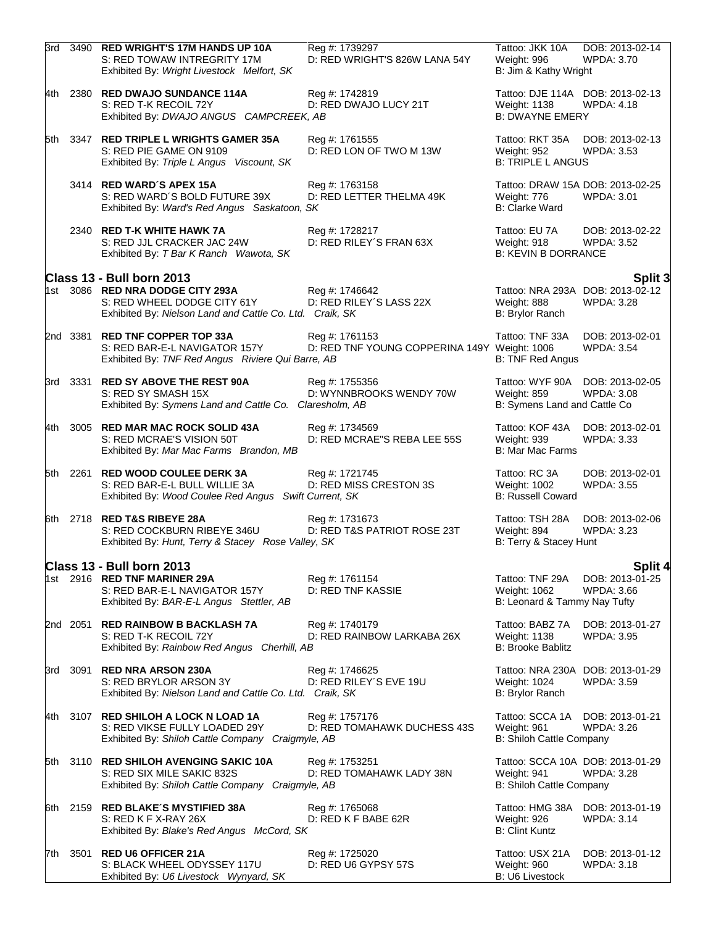|     |          | 3rd 3490 RED WRIGHT'S 17M HANDS UP 10A<br>S: RED TOWAW INTREGRITY 17M<br>Exhibited By: Wright Livestock Melfort, SK         | Reg #: 1739297<br>D: RED WRIGHT'S 826W LANA 54Y                | Tattoo: JKK 10A<br>Weight: 996<br>B: Jim & Kathy Wright                           | DOB: 2013-02-14<br>WPDA: 3.70        |
|-----|----------|-----------------------------------------------------------------------------------------------------------------------------|----------------------------------------------------------------|-----------------------------------------------------------------------------------|--------------------------------------|
|     |          | 4th 2380 RED DWAJO SUNDANCE 114A<br>S: RED T-K RECOIL 72Y<br>Exhibited By: DWAJO ANGUS CAMPCREEK, AB                        | Reg #: 1742819<br>D: RED DWAJO LUCY 21T                        | Tattoo: DJE 114A DOB: 2013-02-13<br><b>Weight: 1138</b><br><b>B: DWAYNE EMERY</b> | <b>WPDA: 4.18</b>                    |
| 5th |          | 3347 RED TRIPLE L WRIGHTS GAMER 35A<br>S: RED PIE GAME ON 9109<br>Exhibited By: Triple L Angus Viscount, SK                 | Reg #: 1761555<br>D: RED LON OF TWO M 13W                      | Tattoo: RKT 35A<br><b>Weight: 952</b><br><b>B: TRIPLE L ANGUS</b>                 | DOB: 2013-02-13<br><b>WPDA: 3.53</b> |
|     |          | 3414 RED WARD'S APEX 15A<br>S: RED WARD'S BOLD FUTURE 39X<br>Exhibited By: Ward's Red Angus Saskatoon, SK                   | Reg #: 1763158<br>D: RED LETTER THELMA 49K                     | Tattoo: DRAW 15A DOB: 2013-02-25<br>Weight: 776<br><b>B: Clarke Ward</b>          | <b>WPDA: 3.01</b>                    |
|     |          | 2340 RED T-K WHITE HAWK 7A<br>S: RED JJL CRACKER JAC 24W<br>Exhibited By: T Bar K Ranch Wawota, SK                          | Reg #: 1728217<br>D: RED RILEY'S FRAN 63X                      | Tattoo: EU 7A<br>Weight: 918<br><b>B: KEVIN B DORRANCE</b>                        | DOB: 2013-02-22<br><b>WPDA: 3.52</b> |
|     |          | Class 13 - Bull born 2013                                                                                                   |                                                                |                                                                                   | <b>Split 3</b>                       |
|     |          | 1st 3086 RED NRA DODGE CITY 293A<br>S: RED WHEEL DODGE CITY 61Y<br>Exhibited By: Nielson Land and Cattle Co. Ltd. Craik, SK | Reg #: 1746642<br>D: RED RILEY'S LASS 22X                      | Tattoo: NRA 293A DOB: 2013-02-12<br>Weight: 888<br>B: Brylor Ranch                | <b>WPDA: 3.28</b>                    |
|     | 2nd 3381 | <b>RED TNF COPPER TOP 33A</b><br>S: RED BAR-E-L NAVIGATOR 157Y<br>Exhibited By: TNF Red Angus Riviere Qui Barre, AB         | Reg #: 1761153<br>D: RED TNF YOUNG COPPERINA 149Y Weight: 1006 | Tattoo: TNF 33A<br>B: TNF Red Angus                                               | DOB: 2013-02-01<br><b>WPDA: 3.54</b> |
|     | 3rd 3331 | <b>RED SY ABOVE THE REST 90A</b><br>S: RED SY SMASH 15X<br>Exhibited By: Symens Land and Cattle Co. Claresholm, AB          | Reg #: 1755356<br>D: WYNNBROOKS WENDY 70W                      | Tattoo: WYF 90A DOB: 2013-02-05<br>Weight: 859<br>B: Symens Land and Cattle Co    | <b>WPDA: 3.08</b>                    |
| 4th |          | 3005 RED MAR MAC ROCK SOLID 43A<br>S: RED MCRAE'S VISION 50T<br>Exhibited By: Mar Mac Farms Brandon, MB                     | Reg #: 1734569<br>D: RED MCRAE"S REBA LEE 55S                  | Tattoo: KOF 43A<br>Weight: 939<br>B: Mar Mac Farms                                | DOB: 2013-02-01<br><b>WPDA: 3.33</b> |
|     | 5th 2261 | <b>RED WOOD COULEE DERK 3A</b><br>S: RED BAR-E-L BULL WILLIE 3A<br>Exhibited By: Wood Coulee Red Angus Swift Current, SK    | Reg #: 1721745<br>D: RED MISS CRESTON 3S                       | Tattoo: RC 3A<br>Weight: 1002<br><b>B: Russell Coward</b>                         | DOB: 2013-02-01<br>WPDA: 3.55        |
| 6th |          | 2718 RED T&S RIBEYE 28A<br>S: RED COCKBURN RIBEYE 346U<br>Exhibited By: Hunt, Terry & Stacey Rose Valley, SK                | Reg #: 1731673<br>D: RED T&S PATRIOT ROSE 23T                  | Tattoo: TSH 28A<br>Weight: 894<br>B: Terry & Stacey Hunt                          | DOB: 2013-02-06<br><b>WPDA: 3.23</b> |
|     |          | Class 13 - Bull born 2013                                                                                                   |                                                                |                                                                                   | Split 4                              |
|     |          | 1st 2916 RED TNF MARINER 29A<br>S: RED BAR-E-L NAVIGATOR 157Y<br>Exhibited By: BAR-E-L Angus Stettler, AB                   | Reg #: 1761154<br>D: RED TNF KASSIE                            | Tattoo: TNF 29A<br>Weight: 1062<br>B: Leonard & Tammy Nay Tufty                   | DOB: 2013-01-25<br>WPDA: 3.66        |
|     | 2nd 2051 | <b>RED RAINBOW B BACKLASH 7A</b><br>S: RED T-K RECOIL 72Y<br>Exhibited By: Rainbow Red Angus Cherhill, AB                   | Reg #: 1740179<br>D: RED RAINBOW LARKABA 26X                   | Tattoo: BABZ 7A<br>Weight: 1138<br><b>B: Brooke Bablitz</b>                       | DOB: 2013-01-27<br><b>WPDA: 3.95</b> |
| 3rd | 3091     | <b>RED NRA ARSON 230A</b><br>S: RED BRYLOR ARSON 3Y<br>Exhibited By: Nielson Land and Cattle Co. Ltd. Craik, SK             | Reg #: 1746625<br>D: RED RILEY'S EVE 19U                       | Tattoo: NRA 230A DOB: 2013-01-29<br>Weight: 1024<br>B: Brylor Ranch               | <b>WPDA: 3.59</b>                    |
| 4th |          | 3107 RED SHILOH A LOCK N LOAD 1A<br>S: RED VIKSE FULLY LOADED 29Y<br>Exhibited By: Shiloh Cattle Company Craigmyle, AB      | Reg #: 1757176<br>D: RED TOMAHAWK DUCHESS 43S                  | Tattoo: SCCA 1A<br>Weight: 961<br>B: Shiloh Cattle Company                        | DOB: 2013-01-21<br><b>WPDA: 3.26</b> |
| 5th |          | 3110 RED SHILOH AVENGING SAKIC 10A<br>S: RED SIX MILE SAKIC 832S<br>Exhibited By: Shiloh Cattle Company Craigmyle, AB       | Reg #: 1753251<br>D: RED TOMAHAWK LADY 38N                     | Tattoo: SCCA 10A DOB: 2013-01-29<br>Weight: 941<br>B: Shiloh Cattle Company       | <b>WPDA: 3.28</b>                    |
| 6th | 2159     | <b>RED BLAKE'S MYSTIFIED 38A</b><br>S: RED K F X-RAY 26X<br>Exhibited By: Blake's Red Angus McCord, SK                      | Reg #: 1765068<br>D: RED K F BABE 62R                          | Tattoo: HMG 38A<br>Weight: 926<br><b>B: Clint Kuntz</b>                           | DOB: 2013-01-19<br><b>WPDA: 3.14</b> |
| 7th | 3501     | <b>RED U6 OFFICER 21A</b><br>S: BLACK WHEEL ODYSSEY 117U<br>Exhibited By: U6 Livestock Wynyard, SK                          | Reg #: 1725020<br>D: RED U6 GYPSY 57S                          | Tattoo: USX 21A<br>Weight: 960<br>B: U6 Livestock                                 | DOB: 2013-01-12<br><b>WPDA: 3.18</b> |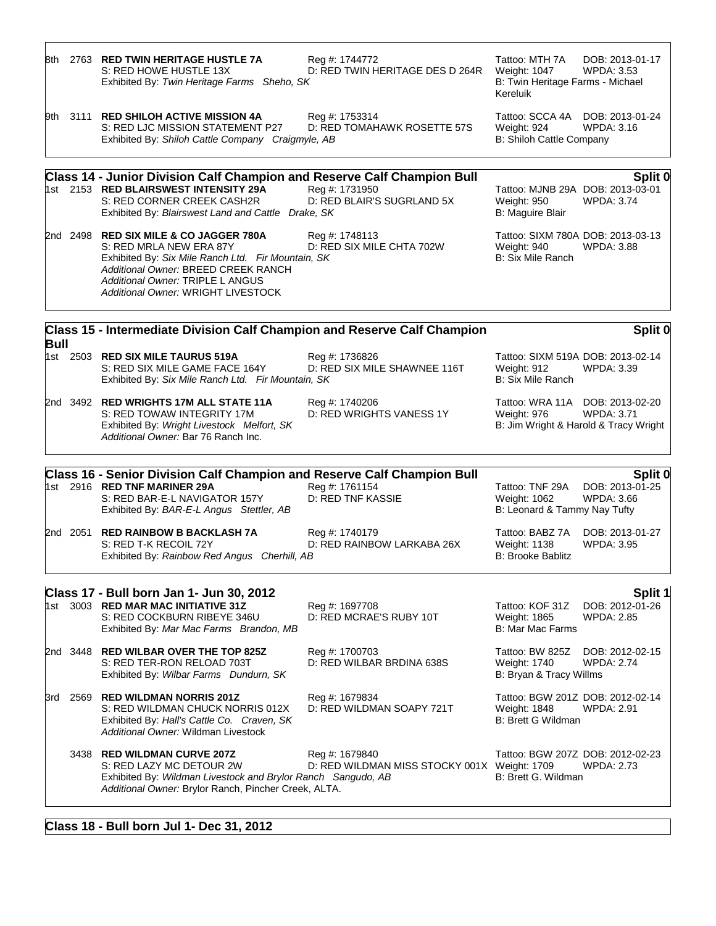| 8th.        |      | 2763 RED TWIN HERITAGE HUSTLE 7A<br>S: RED HOWE HUSTLE 13X<br>Exhibited By: Twin Heritage Farms Sheho, SK                                                                                                                                | Reg #: 1744772<br>D: RED TWIN HERITAGE DES D 264R              | Tattoo: MTH 7A<br>Weight: 1047<br>B: Twin Heritage Farms - Michael<br>Kereluik       | DOB: 2013-01-17<br><b>WPDA: 3.53</b>                       |
|-------------|------|------------------------------------------------------------------------------------------------------------------------------------------------------------------------------------------------------------------------------------------|----------------------------------------------------------------|--------------------------------------------------------------------------------------|------------------------------------------------------------|
|             |      | 9th 3111 RED SHILOH ACTIVE MISSION 4A<br>S: RED LJC MISSION STATEMENT P27<br>Exhibited By: Shiloh Cattle Company Craigmyle, AB                                                                                                           | Reg #: 1753314<br>D: RED TOMAHAWK ROSETTE 57S                  | Tattoo: SCCA 4A<br>Weight: 924<br>B: Shiloh Cattle Company                           | DOB: 2013-01-24<br>WPDA: 3.16                              |
|             |      | <b>Class 14 - Junior Division Calf Champion and Reserve Calf Champion Bull</b>                                                                                                                                                           |                                                                |                                                                                      | Split 0                                                    |
|             |      | 1st 2153 RED BLAIRSWEST INTENSITY 29A<br>S: RED CORNER CREEK CASH2R<br>Exhibited By: Blairswest Land and Cattle Drake, SK                                                                                                                | Reg #: 1731950<br>D: RED BLAIR'S SUGRLAND 5X                   | Tattoo: MJNB 29A DOB: 2013-03-01<br>Weight: 950<br>B: Maguire Blair                  | <b>WPDA: 3.74</b>                                          |
|             |      | 2nd 2498 RED SIX MILE & CO JAGGER 780A<br>S: RED MRLA NEW ERA 87Y<br>Exhibited By: Six Mile Ranch Ltd. Fir Mountain, SK<br>Additional Owner: BREED CREEK RANCH<br>Additional Owner: TRIPLE L ANGUS<br>Additional Owner: WRIGHT LIVESTOCK | Reg #: 1748113<br>D: RED SIX MILE CHTA 702W                    | Tattoo: SIXM 780A DOB: 2013-03-13<br>Weight: 940<br>B: Six Mile Ranch                | <b>WPDA: 3.88</b>                                          |
|             |      | Class 15 - Intermediate Division Calf Champion and Reserve Calf Champion                                                                                                                                                                 |                                                                |                                                                                      | Split 0                                                    |
| <b>Bull</b> |      | 1st 2503 RED SIX MILE TAURUS 519A<br>S: RED SIX MILE GAME FACE 164Y<br>Exhibited By: Six Mile Ranch Ltd. Fir Mountain, SK                                                                                                                | Reg #: 1736826<br>D: RED SIX MILE SHAWNEE 116T                 | Tattoo: SIXM 519A DOB: 2013-02-14<br>Weight: 912<br>B: Six Mile Ranch                | <b>WPDA: 3.39</b>                                          |
|             |      | 2nd 3492 RED WRIGHTS 17M ALL STATE 11A<br>S: RED TOWAW INTEGRITY 17M<br>Exhibited By: Wright Livestock Melfort, SK<br>Additional Owner: Bar 76 Ranch Inc.                                                                                | Reg #: 1740206<br>D: RED WRIGHTS VANESS 1Y                     | Tattoo: WRA 11A DOB: 2013-02-20<br>Weight: 976                                       | <b>WPDA: 3.71</b><br>B: Jim Wright & Harold & Tracy Wright |
|             |      | <b>Class 16 - Senior Division Calf Champion and Reserve Calf Champion Bull</b>                                                                                                                                                           |                                                                |                                                                                      | Split 0                                                    |
|             |      | 1st 2916 RED TNF MARINER 29A<br>S: RED BAR-E-L NAVIGATOR 157Y<br>Exhibited By: BAR-E-L Angus Stettler, AB                                                                                                                                | Reg #: 1761154<br><b>D: RED TNF KASSIE</b>                     | Tattoo: TNF 29A<br>Weight: 1062<br>B: Leonard & Tammy Nay Tufty                      | DOB: 2013-01-25<br><b>WPDA: 3.66</b>                       |
|             |      | 2nd 2051 RED RAINBOW B BACKLASH 7A<br>S: RED T-K RECOIL 72Y<br>Exhibited By: Rainbow Red Angus Cherhill, AB                                                                                                                              | Reg #: 1740179<br>D: RED RAINBOW LARKABA 26X                   | Tattoo: BABZ 7A<br>Weight: 1138<br><b>B: Brooke Bablitz</b>                          | DOB: 2013-01-27<br>WPDA: 3.95                              |
|             |      | Class 17 - Bull born Jan 1- Jun 30, 2012                                                                                                                                                                                                 |                                                                |                                                                                      | Split 1                                                    |
|             |      | 1st 3003 RED MAR MAC INITIATIVE 31Z<br>S: RED COCKBURN RIBEYE 346U<br>Exhibited By: Mar Mac Farms Brandon, MB                                                                                                                            | Reg #: 1697708<br>D: RED MCRAE'S RUBY 10T                      | Tattoo: KOF 31Z<br>Weight: 1865<br>B: Mar Mac Farms                                  | DOB: 2012-01-26<br>WPDA: 2.85                              |
|             |      | 2nd 3448 RED WILBAR OVER THE TOP 825Z<br>S: RED TER-RON RELOAD 703T<br>Exhibited By: Wilbar Farms Dundurn, SK                                                                                                                            | Reg #: 1700703<br>D: RED WILBAR BRDINA 638S                    | Tattoo: BW 825Z<br><b>Weight: 1740</b><br>B: Bryan & Tracy Willms                    | DOB: 2012-02-15<br><b>WPDA: 2.74</b>                       |
| 3rd         | 2569 | <b>RED WILDMAN NORRIS 201Z</b><br>S: RED WILDMAN CHUCK NORRIS 012X<br>Exhibited By: Hall's Cattle Co. Craven, SK<br>Additional Owner: Wildman Livestock                                                                                  | Reg #: 1679834<br>D: RED WILDMAN SOAPY 721T                    | Tattoo: BGW 201Z DOB: 2012-02-14<br><b>Weight: 1848</b><br><b>B: Brett G Wildman</b> | <b>WPDA: 2.91</b>                                          |
|             |      | 3438 RED WILDMAN CURVE 207Z<br>S: RED LAZY MC DETOUR 2W<br>Exhibited By: Wildman Livestock and Brylor Ranch Sangudo, AB<br>Additional Owner: Brylor Ranch, Pincher Creek, ALTA.                                                          | Reg #: 1679840<br>D: RED WILDMAN MISS STOCKY 001X Weight: 1709 | Tattoo: BGW 207Z DOB: 2012-02-23<br>B: Brett G. Wildman                              | <b>WPDA: 2.73</b>                                          |

## **Class 18 - Bull born Jul 1- Dec 31, 2012**